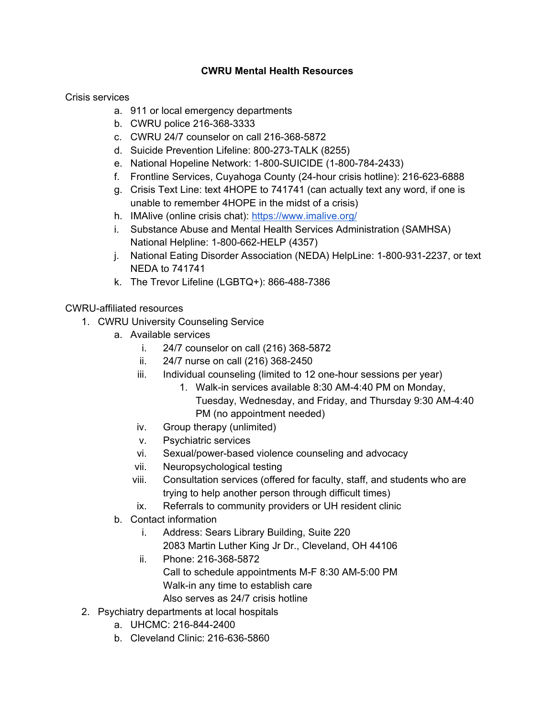## **CWRU Mental Health Resources**

Crisis services

- a. 911 or local emergency departments
- b. CWRU police 216-368-3333
- c. CWRU 24/7 counselor on call 216-368-5872
- d. Suicide Prevention Lifeline: 800-273-TALK (8255)
- e. National Hopeline Network: 1-800-SUICIDE (1-800-784-2433)
- f. Frontline Services, Cuyahoga County (24-hour crisis hotline): 216-623-6888
- g. Crisis Text Line: text 4HOPE to 741741 (can actually text any word, if one is unable to remember 4HOPE in the midst of a crisis)
- h. IMAlive (online crisis chat): https://www.imalive.org/
- i. Substance Abuse and Mental Health Services Administration (SAMHSA) National Helpline: 1-800-662-HELP (4357)
- j. National Eating Disorder Association (NEDA) HelpLine: 1-800-931-2237, or text NEDA to 741741
- k. The Trevor Lifeline (LGBTQ+): 866-488-7386

## CWRU-affiliated resources

- 1. CWRU University Counseling Service
	- a. Available services
		- i. 24/7 counselor on call (216) 368-5872
		- ii. 24/7 nurse on call (216) 368-2450
		- iii. Individual counseling (limited to 12 one-hour sessions per year)
			- 1. Walk-in services available 8:30 AM-4:40 PM on Monday, Tuesday, Wednesday, and Friday, and Thursday 9:30 AM-4:40 PM (no appointment needed)
		- iv. Group therapy (unlimited)
		- v. Psychiatric services
		- vi. Sexual/power-based violence counseling and advocacy
		- vii. Neuropsychological testing
		- viii. Consultation services (offered for faculty, staff, and students who are trying to help another person through difficult times)
		- ix. Referrals to community providers or UH resident clinic
	- b. Contact information
		- i. Address: Sears Library Building, Suite 220 2083 Martin Luther King Jr Dr., Cleveland, OH 44106
		- ii. Phone: 216-368-5872 Call to schedule appointments M-F 8:30 AM-5:00 PM Walk-in any time to establish care
			- Also serves as 24/7 crisis hotline
- 2. Psychiatry departments at local hospitals
	- a. UHCMC: 216-844-2400
	- b. Cleveland Clinic: 216-636-5860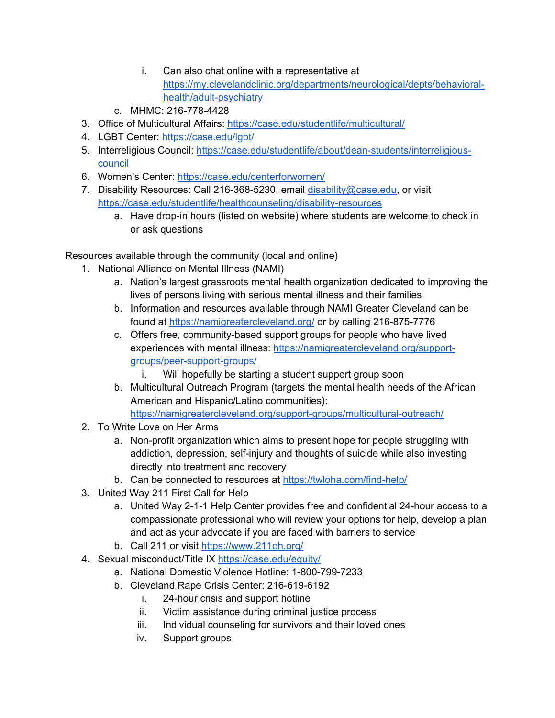- i. Can also chat online with a representative at https://my.clevelandclinic.org/departments/neurological/depts/behavioralhealth/adult-psychiatry
- c. MHMC: 216-778-4428
- 3. Office of Multicultural Affairs: https://case.edu/studentlife/multicultural/
- 4. LGBT Center: https://case.edu/lgbt/
- 5. Interreligious Council: https://case.edu/studentlife/about/dean-students/interreligiouscouncil
- 6. Women's Center: https://case.edu/centerforwomen/
- 7. Disability Resources: Call 216-368-5230, email disability@case.edu, or visit https://case.edu/studentlife/healthcounseling/disability-resources
	- a. Have drop-in hours (listed on website) where students are welcome to check in or ask questions

Resources available through the community (local and online)

- 1. National Alliance on Mental Illness (NAMI)
	- a. Nation's largest grassroots mental health organization dedicated to improving the lives of persons living with serious mental illness and their families
	- b. Information and resources available through NAMI Greater Cleveland can be found at https://namigreatercleveland.org/ or by calling 216-875-7776
	- c. Offers free, community-based support groups for people who have lived experiences with mental illness: https://namigreatercleveland.org/supportgroups/peer-support-groups/
		- i. Will hopefully be starting a student support group soon
	- b. Multicultural Outreach Program (targets the mental health needs of the African American and Hispanic/Latino communities): https://namigreatercleveland.org/support-groups/multicultural-outreach/
- 2. To Write Love on Her Arms
	- a. Non-profit organization which aims to present hope for people struggling with addiction, depression, self-injury and thoughts of suicide while also investing directly into treatment and recovery
	- b. Can be connected to resources at https://twloha.com/find-help/
- 3. United Way 211 First Call for Help
	- a. United Way 2-1-1 Help Center provides free and confidential 24-hour access to a compassionate professional who will review your options for help, develop a plan and act as your advocate if you are faced with barriers to service
	- b. Call 211 or visit https://www.211oh.org/
- 4. Sexual misconduct/Title IX https://case.edu/equity/
	- a. National Domestic Violence Hotline: 1-800-799-7233
	- b. Cleveland Rape Crisis Center: 216-619-6192
		- i. 24-hour crisis and support hotline
		- ii. Victim assistance during criminal justice process
		- iii. Individual counseling for survivors and their loved ones
		- iv. Support groups